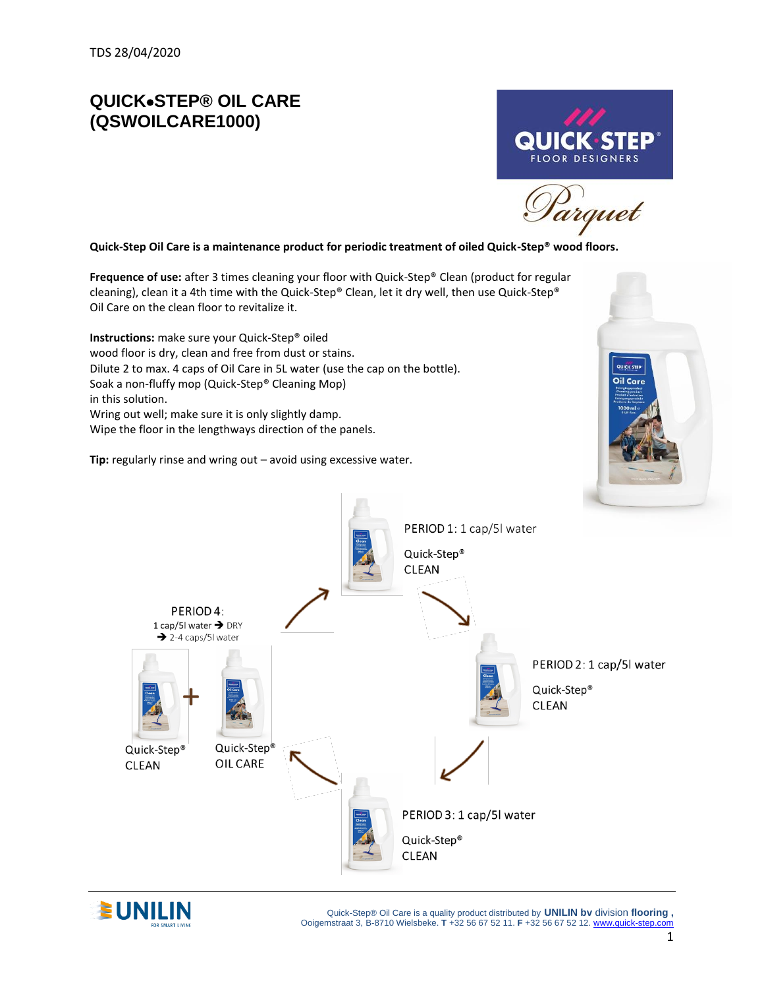## **QUICK**•**STEP® OIL CARE (QSWOILCARE1000)**

**Quick-Step Oil Care is a maintenance product for periodic treatment of oiled Quick-Step® wood floors.**

**Frequence of use:** after 3 times cleaning your floor with Quick-Step® Clean (product for regular cleaning), clean it a 4th time with the Quick-Step® Clean, let it dry well, then use Quick-Step® Oil Care on the clean floor to revitalize it.

**Instructions:** make sure your Quick-Step® oiled wood floor is dry, clean and free from dust or stains. Dilute 2 to max. 4 caps of Oil Care in 5L water (use the cap on the bottle). Soak a non-fluffy mop (Quick-Step® Cleaning Mop) in this solution. Wring out well; make sure it is only slightly damp. Wipe the floor in the lengthways direction of the panels.

**Tip:** regularly rinse and wring out – avoid using excessive water.



**FLOOR DESIGNERS** 

arguet





 Quick-Step® Oil Care is a quality product distributed by **UNILIN bv** division **flooring ,** Ooigemstraat 3, B-8710 Wielsbeke. **T** +32 56 67 52 11. **F** +32 56 67 52 12. [www.quick-step.com](http://www.unilin.com/)